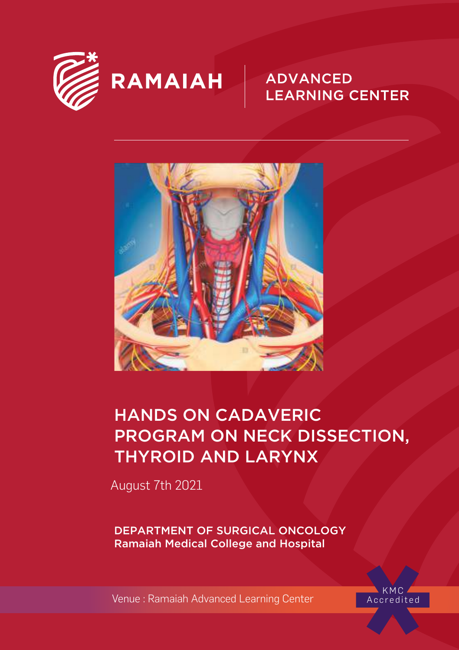

# RAMAIAH

### **ADVANCED LEARNING CENTER**



## HANDS ON CADAVERIC PROGRAM ON NECK DISSECTION, THYROID AND LARYNX

August 7th 2021

DEPARTMENT OF SURGICAL ONCOLOGY Ramaiah Medical College and Hospital

Venue : Ramaiah Advanced Learning Center

KMC<br>Accredited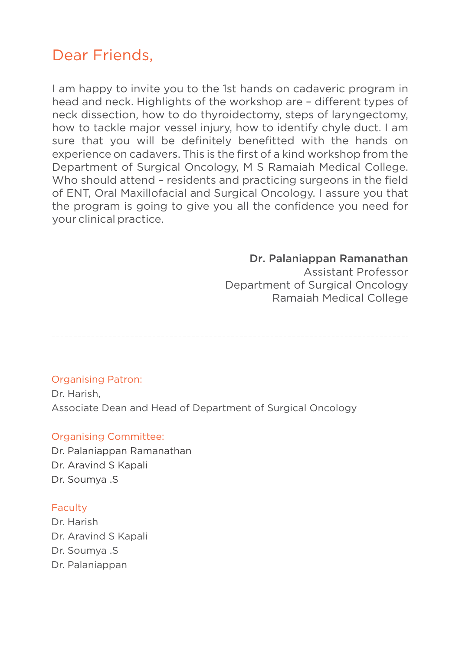### Dear Friends,

I am happy to invite you to the 1st hands on cadaveric program in head and neck. Highlights of the workshop are - different types of neck dissection, how to do thyroidectomy, steps of laryngectomy, how to tackle major vessel injury, how to identify chyle duct. I am sure that you will be definitely benefitted with the hands on experience on cadavers. This is the first of a kind workshop from the Department of Surgical Oncology, M S Ramaiah Medical College. Who should attend – residents and practicing surgeons in the field of ENT, Oral Maxillofacial and Surgical Oncology. I assure you that the program is going to give you all the confidence you need for your clinical practice.

### Dr. Palaniappan Ramanathan

 Assistant Professor Department of Surgical Oncology Ramaiah Medical College

### Organising Patron:

Dr. Harish, Associate Dean and Head of Department of Surgical Oncology

### Organising Committee:

Dr. Palaniappan Ramanathan Dr. Aravind S Kapali Dr. Soumya .S

### Faculty

Dr. Harish Dr. Aravind S Kapali Dr. Soumya .S Dr. Palaniappan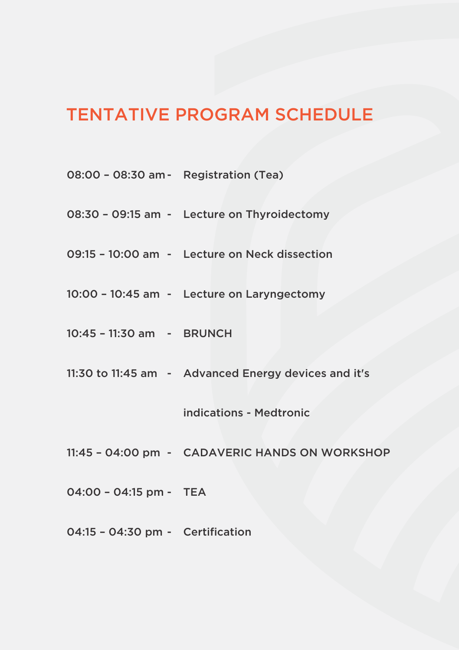### TENTATIVE PROGRAM SCHEDULE

- 08:00 08:30 am Registration (Tea)
- 08:30 09:15 am Lecture on Thyroidectomy
- 09:15 10:00 am Lecture on Neck dissection
- 10:00 10:45 am Lecture on Laryngectomy
- 10:45 11:30 am BRUNCH
- 11:30 to 11:45 am Advanced Energy devices and it's

indications - Medtronic

- 11:45 04:00 pm CADAVERIC HANDS ON WORKSHOP
- 04:00 04:15 pm TEA
- 04:15 04:30 pm Certification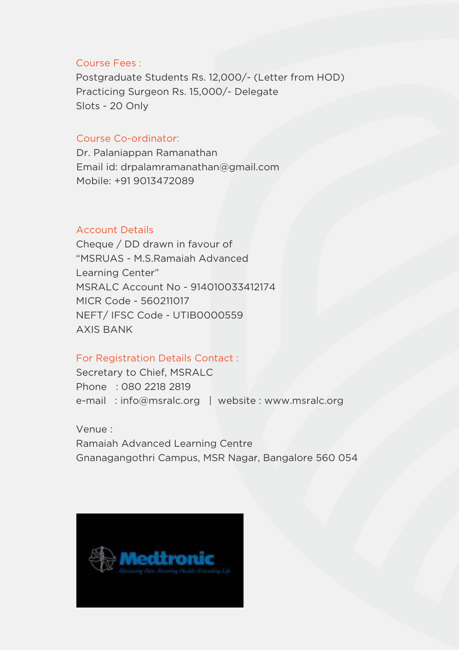#### Course Fees :

Postgraduate Students Rs. 12,000/- (Letter from HOD) Practicing Surgeon Rs. 15,000/- Delegate Slots - 20 Only

### Course Co-ordinator:

Dr. Palaniappan Ramanathan Email id: drpalamramanathan@gmail.com Mobile: +91 9013472089

### Account Details

Cheque / DD drawn in favour of "MSRUAS - M.S.Ramaiah Advanced Learning Center" MSRALC Account No - 914010033412174 MICR Code - 560211017 NEFT/ IFSC Code - UTIB0000559 AXIS BANK

#### For Registration Details Contact :

Secretary to Chief, MSRALC Phone : 080 2218 2819 e-mail : info@msralc.org | website : www.msralc.org

Venue : Ramaiah Advanced Learning Centre Gnanagangothri Campus, MSR Nagar, Bangalore 560 054